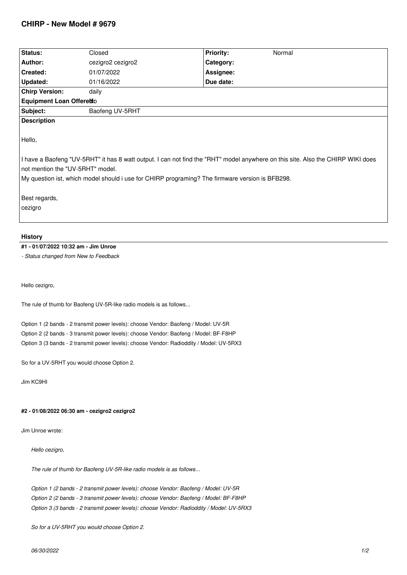# **CHIRP - New Model # 9679**

| Status:                                                                                                                                                             | Closed            | <b>Priority:</b><br>Normal |
|---------------------------------------------------------------------------------------------------------------------------------------------------------------------|-------------------|----------------------------|
| Author:                                                                                                                                                             | cezigro2 cezigro2 | Category:                  |
| <b>Created:</b>                                                                                                                                                     | 01/07/2022        | Assignee:                  |
| Updated:                                                                                                                                                            | 01/16/2022        | Due date:                  |
| <b>Chirp Version:</b>                                                                                                                                               | daily             |                            |
| Equipment Loan Offeredo                                                                                                                                             |                   |                            |
| Subject:                                                                                                                                                            | Baofeng UV-5RHT   |                            |
| <b>Description</b>                                                                                                                                                  |                   |                            |
| Hello,                                                                                                                                                              |                   |                            |
| I have a Baofeng "UV-5RHT" it has 8 watt output. I can not find the "RHT" model anywhere on this site. Also the CHIRP WIKI does<br>not mention the "UV-5RHT" model. |                   |                            |
| My question ist, which model should i use for CHIRP programing? The firmware version is BFB298.                                                                     |                   |                            |
|                                                                                                                                                                     |                   |                            |
| Best regards,                                                                                                                                                       |                   |                            |
| cezigro                                                                                                                                                             |                   |                            |
|                                                                                                                                                                     |                   |                            |
|                                                                                                                                                                     |                   |                            |
| <b>History</b>                                                                                                                                                      |                   |                            |

## **#1 - 01/07/2022 10:32 am - Jim Unroe**

*- Status changed from New to Feedback*

*Hello cezigro,*

*The rule of thumb for Baofeng UV-5R-like radio models is as follows...*

*Option 1 (2 bands - 2 transmit power levels): choose Vendor: Baofeng / Model: UV-5R Option 2 (2 bands - 3 transmit power levels): choose Vendor: Baofeng / Model: BF-F8HP Option 3 (3 bands - 2 transmit power levels): choose Vendor: Radioddity / Model: UV-5RX3*

*So for a UV-5RHT you would choose Option 2.*

*Jim KC9HI*

### **#2 - 01/08/2022 06:30 am - cezigro2 cezigro2**

*Jim Unroe wrote:*

*Hello cezigro,*

*The rule of thumb for Baofeng UV-5R-like radio models is as follows...*

*Option 1 (2 bands - 2 transmit power levels): choose Vendor: Baofeng / Model: UV-5R Option 2 (2 bands - 3 transmit power levels): choose Vendor: Baofeng / Model: BF-F8HP Option 3 (3 bands - 2 transmit power levels): choose Vendor: Radioddity / Model: UV-5RX3*

*So for a UV-5RHT you would choose Option 2.*